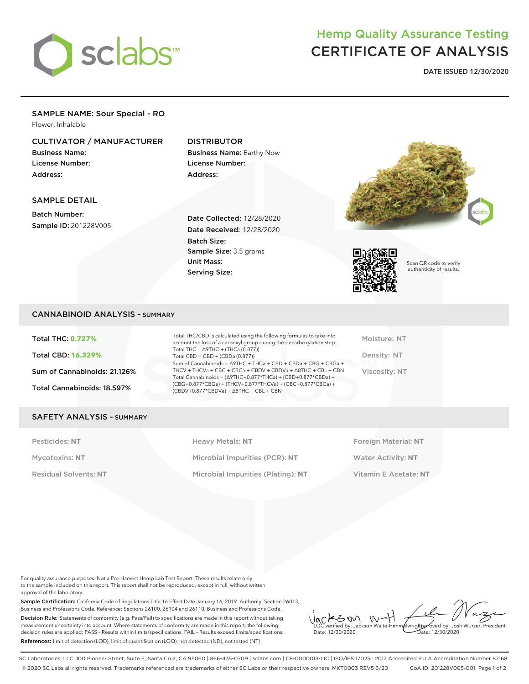

# Hemp Quality Assurance Testing CERTIFICATE OF ANALYSIS

**DATE ISSUED 12/30/2020**

### SAMPLE NAME: Sour Special - RO Flower, Inhalable

# CULTIVATOR / MANUFACTURER

Business Name: License Number: Address:

# DISTRIBUTOR

Business Name: Earthy Now License Number: Address:

# SAMPLE DETAIL

Batch Number: Sample ID: 201228V005

Date Collected: 12/28/2020 Date Received: 12/28/2020 Batch Size: Sample Size: 3.5 grams Unit Mass: Serving Size:





Scan QR code to verify authenticity of results.

# CANNABINOID ANALYSIS - SUMMARY

Total THC: **0.727%** Total CBD: **16.329%** Sum of Cannabinoids: 21.126% Total Cannabinoids: 18.597%

Total THC/CBD is calculated using the following formulas to take into account the loss of a carboxyl group during the decarboxylation step: Total THC = ∆9THC + (THCa (0.877)) Total  $CBD = CBD + (CBDa (0.877))$ Sum of Cannabinoids = ∆9THC + THCa + CBD + CBDa + CBG + CBGa + THCV + THCVa + CBC + CBCa + CBDV + CBDVa + ∆8THC + CBL + CBN Total Cannabinoids = (∆9THC+0.877\*THCa) + (CBD+0.877\*CBDa) + (CBG+0.877\*CBGa) + (THCV+0.877\*THCVa) + (CBC+0.877\*CBCa) + (CBDV+0.877\*CBDVa) + ∆8THC + CBL + CBN

Moisture: NT Density: NT Viscosity: NT

#### SAFETY ANALYSIS - SUMMARY

Pesticides: NT **All Accords** Heavy Metals: NT **Foreign Material: NT** Pesticides: NT Mycotoxins: **NT** Microbial Impurities (PCR): **NT** Water Activity: **NT** Residual Solvents: **NT** Microbial Impurities (Plating): **NT** Vitamin E Acetate: **NT**

For quality assurance purposes. Not a Pre-Harvest Hemp Lab Test Report. These results relate only to the sample included on this report. This report shall not be reproduced, except in full, without written approval of the laboratory.

Sample Certification: California Code of Regulations Title 16 Effect Date January 16, 2019. Authority: Section 26013, Business and Professions Code. Reference: Sections 26100, 26104 and 26110, Business and Professions Code. Decision Rule: Statements of conformity (e.g. Pass/Fail) to specifications are made in this report without taking measurement uncertainty into account. Where statements of conformity are made in this report, the following decision rules are applied: PASS – Results within limits/specifications, FAIL – Results exceed limits/specifications. References: limit of detection (LOD), limit of quantification (LOQ), not detected (ND), not tested (NT)

 $W +$ KSW Approved by: Josh Wurzer, President LQC verified by: Jackson Waite-Himmelwright Date: 12/30/2020 Date: 12/30/2020

SC Laboratories, LLC. 100 Pioneer Street, Suite E, Santa Cruz, CA 95060 | 866-435-0709 | sclabs.com | C8-0000013-LIC | ISO/IES 17025 : 2017 Accredited PJLA Accreditation Number 87168 © 2020 SC Labs all rights reserved. Trademarks referenced are trademarks of either SC Labs or their respective owners. MKT0003 REV5 6/20 CoA ID: 201228V005-001 Page 1 of 2